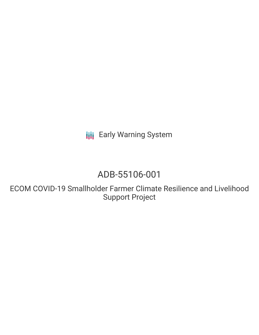**III** Early Warning System

# ADB-55106-001

ECOM COVID-19 Smallholder Farmer Climate Resilience and Livelihood Support Project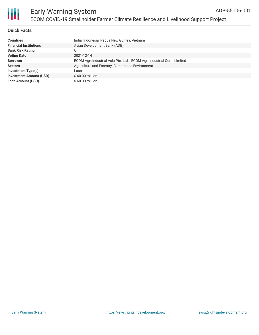

#### **Quick Facts**

| <b>Countries</b>               | India, Indonesia, Papua New Guinea, Vietnam                           |
|--------------------------------|-----------------------------------------------------------------------|
| <b>Financial Institutions</b>  | Asian Development Bank (ADB)                                          |
| <b>Bank Risk Rating</b>        | С                                                                     |
| <b>Voting Date</b>             | 2021-12-14                                                            |
| <b>Borrower</b>                | ECOM Agroindustrial Asia Pte. Ltd., ECOM Agroindustrial Corp. Limited |
| <b>Sectors</b>                 | Agriculture and Forestry, Climate and Environment                     |
| Investment Type(s)             | Loan                                                                  |
| <b>Investment Amount (USD)</b> | $$60.00$ million                                                      |
| <b>Loan Amount (USD)</b>       | $$60.00$ million                                                      |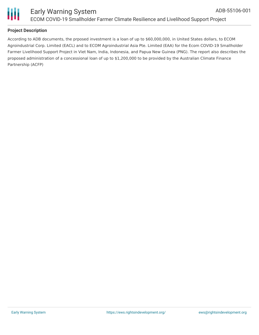

#### **Project Description**

According to ADB documents, the prposed investment is a loan of up to \$60,000,000, in United States dollars, to ECOM Agroindustrial Corp. Limited (EACL) and to ECOM Agroindustrial Asia Pte. Limited (EAA) for the Ecom COVID-19 Smallholder Farmer Livelihood Support Project in Viet Nam, India, Indonesia, and Papua New Guinea (PNG). The report also describes the proposed administration of a concessional loan of up to \$1,200,000 to be provided by the Australian Climate Finance Partnership (ACFP)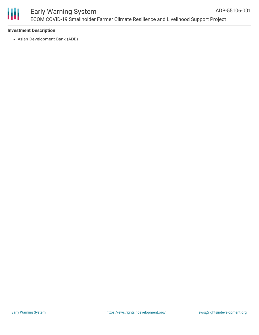

#### **Investment Description**

Asian Development Bank (ADB)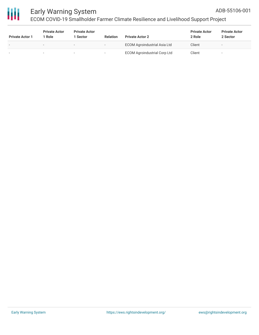

## Early Warning System

ECOM COVID-19 Smallholder Farmer Climate Resilience and Livelihood Support Project

| <b>Private Actor 1</b> | <b>Private Actor</b><br>1 Role | <b>Private Actor</b><br><b>Sector</b> | <b>Relation</b>          | <b>Private Actor 2</b>              | <b>Private Actor</b><br>2 Role | <b>Private Actor</b><br>2 Sector |
|------------------------|--------------------------------|---------------------------------------|--------------------------|-------------------------------------|--------------------------------|----------------------------------|
|                        | -                              | $\overline{\phantom{0}}$              | $\overline{\phantom{a}}$ | <b>ECOM Agroindustrial Asia Ltd</b> | Client                         | $\overline{\phantom{a}}$         |
|                        | -                              | $\sim$                                |                          | <b>ECOM Agroindustrial Corp Ltd</b> | Client                         | -                                |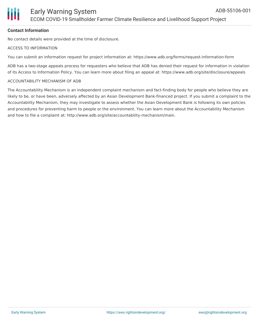#### **Contact Information**

No contact details were provided at the time of disclosure.

#### ACCESS TO INFORMATION

You can submit an information request for project information at: https://www.adb.org/forms/request-information-form

ADB has a two-stage appeals process for requesters who believe that ADB has denied their request for information in violation of its Access to Information Policy. You can learn more about filing an appeal at: https://www.adb.org/site/disclosure/appeals

#### ACCOUNTABILITY MECHANISM OF ADB

The Accountability Mechanism is an independent complaint mechanism and fact-finding body for people who believe they are likely to be, or have been, adversely affected by an Asian Development Bank-financed project. If you submit a complaint to the Accountability Mechanism, they may investigate to assess whether the Asian Development Bank is following its own policies and procedures for preventing harm to people or the environment. You can learn more about the Accountability Mechanism and how to file a complaint at: http://www.adb.org/site/accountability-mechanism/main.